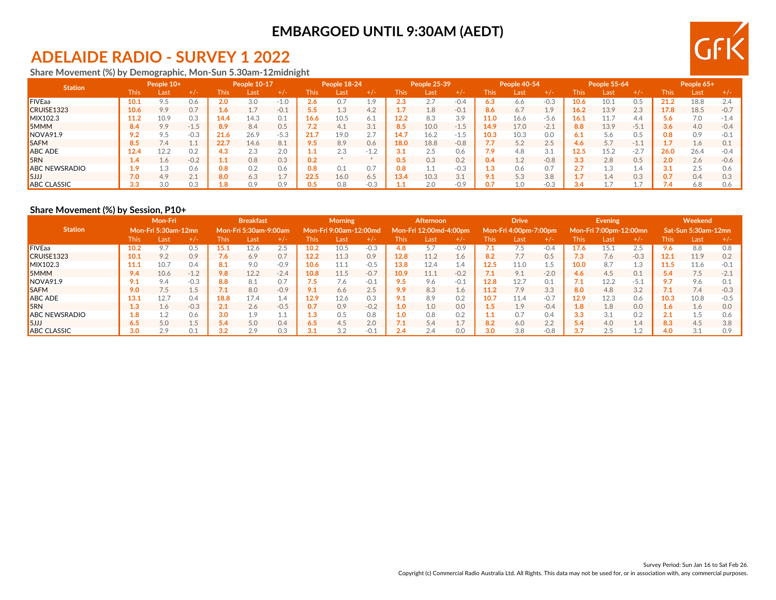### **EMBARGOED UNTIL 9:30AM (AEDT)**

# **ADELAIDE RADIO - SURVEY 1 2022**

**Share Movement (%) by Demographic, Mon-Sun 5.30am-12midnight**

| <b>Station</b>       | People 10+    |      | People 10-17             |             | People 18-24 |        |      | People 25-39 |         | People 40-54 |      |        | <b>People 55-64</b> |      |        | People 65+ |           |        |      |      |        |
|----------------------|---------------|------|--------------------------|-------------|--------------|--------|------|--------------|---------|--------------|------|--------|---------------------|------|--------|------------|-----------|--------|------|------|--------|
|                      | This          | Last | $+/-$                    | <b>This</b> | Last         |        | This | Last         | $+$ / - | This         | Last | $+/-$  | This                | Last | $+/-$  | This       | Last      |        | This | Last |        |
| <b>FIVEaa</b>        | 10.1          | 9.5  | 0.6                      | 2.0         | 3.0          | $-1$   | z.o  |              | $\circ$ |              | 2.7  | $-0.4$ | 6.3                 | 6.6  | $-0.3$ | 10.6       |           |        | 21.2 | 18.8 | 2.4    |
| CRUISE1323           | 10.6          | 9.9  | 0.7                      | 1.6         |              | $-0.1$ |      | 1.3          | 4.2     |              | 1.8  | $-0.1$ | 8.6                 | 6.7  | 1.9    | 16.2       | 13.9      | 2.3    | 17.8 | 18.5 | $-0.7$ |
| MIX102.3             | 11.2          | 10.9 | 0.3                      | 14.4        | 14.3         | 0.1    | 16.6 | 10.5         | 6.1     | 12.2         | 8.3  | 3.9    | 11.0                | 16.6 | $-5.6$ | 16.1       | 11.7      | 4.4    | 5.6  | 7.0  | $-14$  |
| <b>SMMM</b>          | 8.4           | 9.9  | $-1.5$                   | 8.9         | 8.4          | 0.5    | 7.Z  | 4.1          | 3.1     | 8.5          | 10.0 | $-1.5$ | 14.9                | 17.0 | $-2.1$ | 8.8        | 13.9      | $-5.1$ | 3.6  | 4.0  | $-0.4$ |
| NOVA91.9             |               | 9.5  | $-0.3$                   | 21.6        | 26.9         | $-5.3$ | 21.7 | 19.0         | 2.7     | 4.           | 16.2 | $-1.5$ | 10.3                | 10.3 | 0.0    | 6.1        | 5.6       | 0.5    | 0.8  | 0.9  |        |
| <b>SAFM</b>          | 8.5           | 7.4  | ىك قىل                   | 22.7        | 14.6         | 8.1    | 9.5  | 8.9          | 0.6     | 18.0         | 18.8 | $-0.8$ | 7.7                 | 52   | 2.5    | 4.6        | 57<br>J.1 | $-1.1$ |      | 1.6  |        |
| <b>ABC ADE</b>       | 12.4          | 12.2 | 0.2                      | 4.3         | 2.3          | 2.0    |      | $\cap$       | $-1.2$  |              | 2.5  | 0.6    | 7.9                 | 4.8  | 3.1    | 12.5       | 15.2      | $-2.7$ | 26.0 | 26.4 | $-0.4$ |
| <b>5RN</b>           | $4.4^{\circ}$ | 1.6  | $-0.2$                   | $1.1\,$     | 0.8          | 0.3    | 0.2  |              |         | 0.5          | 0.3  | 0.2    | 0.4                 | 1.2  | $-0.8$ | 3.3        | 2.8       | 0.5    | 2.0  | 2.6  | $-0.6$ |
| <b>ABC NEWSRADIO</b> |               | 1.3  | 0.6                      | 0.8         | 0.2          | 0.6    | 0.8  | $\circ$ .    | 0.7     | 0.8          | 1.1  | $-0.3$ | 1.3                 | 0.6  | 0.7    |            |           | ⊥.4    |      | 2.5  |        |
| <b>SJJJ</b>          | 7.0           | 4.9  | 21<br>$\angle$ . $\perp$ | 8.0         | 6.3          | ı.     | 22.5 | 16.0         | 6.5     | .3.4         | 10.3 | 3.1    | 9.1                 | 5.3  | 3.8    |            | $\pm .4$  | 0.3    |      | 0.4  |        |
| <b>ABC CLASSIC</b>   | 3.3           | 3.0  | 0.3                      | 1.8         | 0.9          | 0.9    | 0.5  | 0.8          | $-0.3$  |              | 2.0  | $-0.9$ | 0.7                 | 1.0  | $-0.3$ |            |           |        |      | 6.8  |        |

### **Share Movement (%) by Session, P10+**

|                      | Mon-Fri |                     |        | <b>Breakfast</b> |                           |        | <b>Morning</b> |                        |        | Afternoon |                        |                 | <b>Drive</b> |                       |        | <b>Evening</b> |                        |        | Weekend              |                     |        |
|----------------------|---------|---------------------|--------|------------------|---------------------------|--------|----------------|------------------------|--------|-----------|------------------------|-----------------|--------------|-----------------------|--------|----------------|------------------------|--------|----------------------|---------------------|--------|
| <b>Station</b>       |         | Mon-Fri 5:30am-12mn |        |                  | ' Mon-Fri 5:30am-9:00am . |        |                | Mon-Fri 9:00am-12:00md |        |           | Mon-Fri 12:00md-4:00pm |                 |              | Mon-Fri 4:00pm-7:00pm |        |                | Mon-Fri 7:00pm-12:00mn |        |                      | Sat-Sun 5:30am-12mn |        |
|                      | This:   | Last                | $+/-$  | <b>This</b>      | Last                      | $+/-$  | This           | Last                   | $+/-$  | This      | Last                   | $+/-$           | <b>This</b>  | Last                  | $+1-$  | This           | _ast                   | $+/-$  | This                 | Last                | $+/-$  |
| <b>FIVEaa</b>        | 10.2    | 9.7                 | 0.5    | 15.1             | 12.6                      | 2.5    | 10.2           | 10.5                   | $-0.3$ | 4.8       | 5.7                    | $-0.9$          | 7.1          |                       | $-0.4$ | 17.6           | 15.1                   | 2.5    | 9.6                  | 8.8                 | 0.8    |
| CRUISE1323           | 10.1    | 9.2                 | 0.9    | 7.6              | 6.9                       | 0.7    | 12.2           | 11.3                   | 0.9    | 12.8      | 11.2                   | 1.6             | 8.2          | 7.7                   | 0.5    | 7.3            | /6                     | $-0.3$ | 12.1                 | 11.9                | 0.2    |
| MIX102.3             | 11.1    | 10.7                | 0.4    | 8.1              | 9.0                       | $-0.9$ | 10.6           | 11.1                   | $-0.5$ | 13.8      | 12.4                   | 1.4             | 12.5         | 11.0                  |        | 10.0           | 8.7                    | 1.3    | 11.5                 | 11.6                | $-0.1$ |
| <b>5MMM</b>          | 9.4     | 10.6                | $-1.2$ | 9.8              | 12.2                      | $-2.4$ | 10.8           | 11.5                   | $-0.7$ | 10.9      | 11.1                   | $-0.2$          | 7.1          | 9.1                   | $-2.0$ | 4.6            | 4.5                    | 0.1    | 5.4                  | 7.5                 | $-2.1$ |
| NOVA91.9             | 9.1     | 9.4                 | $-0.3$ | 8.8              | 8.1                       | 0.7    |                | 1.6                    | $-0.1$ | 9.5       | 9.6                    | $-0.1$          | 12.8         | 12.7                  | 0.1    |                | 12.2                   | $-5.1$ | 9.7                  | 9.6                 | 0.1    |
| <b>SAFM</b>          | 9.0     | 7.5                 | 1E     | 7.1              | 8.0                       | $-0.9$ | 9.1            | 6.6                    | 2.5    | 9.9       | 8.3                    | 1.6             | 11.2         | 7.9                   | 3.3    | 8.0            | 4.8                    | 3.2    | 7.1                  | 7.4                 | $-0.3$ |
| <b>ABC ADE</b>       | 13.1    | 12.7                | 0.4    | 18.8             | 17.4                      | 1.4    | 12.9           | 12.6                   | 0.3    | 9.1       | 8.9                    | 0.2             | 10.7         | 11.4                  | $-0.7$ | 12.9           | 12.3                   | 0.6    | 10.3                 | 10.8                | $-0.5$ |
| 5RN                  | 1.3     | 1.6                 | $-0.3$ | 2.1              | 2.6                       | $-0.5$ | 0.7            | 0.9                    | $-0.2$ | 1.0       | 1.0                    | 0.0             | 1.5          | 1.9                   | $-0.4$ | 1.8            | 1.8                    | 0.0    | 1.6 <sub>1</sub>     | 1.6                 | 0.0    |
| <b>ABC NEWSRADIO</b> | 1.8     | 1.2                 | 0.6    | 3.0              | 1.9                       | T.I    | 1.3            | 0.5                    | 0.8    | 1.0       | 0.8                    | 0.2             | 1.1          | 0.7                   | 0.4    | 3.3            | 3.1                    | 0.2    | $^{\circ}$ 1<br>2. 1 | 1.5                 | 0.6    |
| 5JJJ                 | 6.5     | 5.0                 | 1.5    | 5.4              | 5.0                       | 0.4    | 6.5            | 4.5                    | 2.0    | 7.1       | 5.4                    | 17<br><b>1.</b> | 8.2          | 6.0                   | 2.2    | 5.4            | 4.0                    | 1.4    | 8.3                  | 4.5                 | 3.8    |
| <b>ABC CLASSIC</b>   | 3.0     | 2.9                 | 0.1    | 3.2              | 2.9                       | 0.3    |                | o o<br>3.2             | $-0.1$ | 2.4       | 2.4                    | 0.0             | 3.0          | 3.8                   | $-0.8$ | 3.7            | 2.J                    | 1.2    | 4.0                  | 3.1                 | 0.9    |

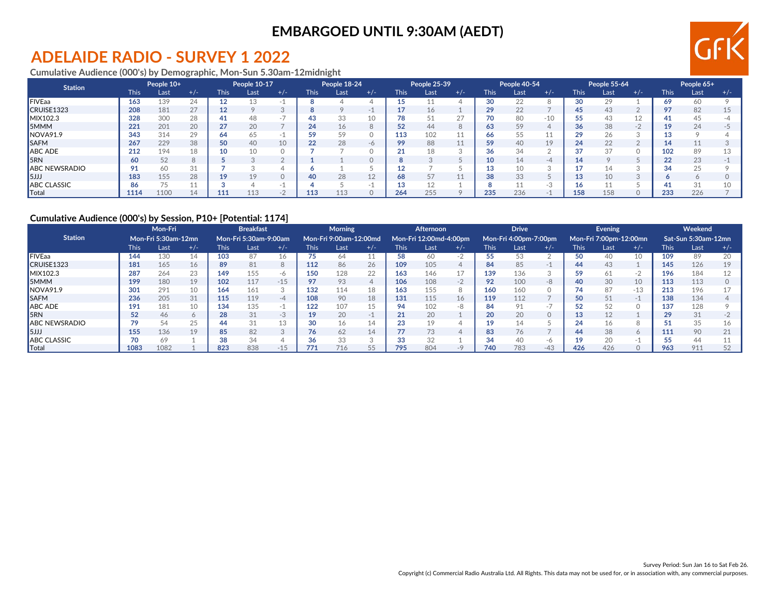### **EMBARGOED UNTIL 9:30AM (AEDT)**

# **ADELAIDE RADIO - SURVEY 1 2022**

**Cumulative Audience (000's) by Demographic, Mon-Sun 5.30am-12midnight**

| <b>Station</b>       | People 10+  |      | People 10-17 |             | People 18-24 |                          |             | People 25-39 |       | People 40-54 |      |       | People 55-64 |      |       | People 65+  |      |       |             |      |       |
|----------------------|-------------|------|--------------|-------------|--------------|--------------------------|-------------|--------------|-------|--------------|------|-------|--------------|------|-------|-------------|------|-------|-------------|------|-------|
|                      | <b>This</b> | Last | $+/-$        | <b>This</b> | Last         | $+/-$                    | <b>This</b> | Last         | $+/-$ | This         | Last | $+/-$ | <b>This</b>  | Last | $+/-$ | <b>This</b> | Last | $+/-$ | <b>This</b> | Last | $+/-$ |
| <b>FIVEaa</b>        | 163         | 139  | 24           | 12          |              |                          |             |              |       |              |      |       | 30           | 22   |       | 30          |      |       | 69          | 60   |       |
| CRUISE1323           | 208         | 181  | 27           | 12          |              |                          |             |              |       |              | 16   |       | 29           | 22   |       | 45          |      |       |             | 82   |       |
| MIX102.3             | 328         | 300  | 28           | 41          | 48           | $\overline{\phantom{a}}$ |             | 33           | 10    |              | 51   | 27    | 70           | 80   | $-10$ |             |      | 12    |             | 45   |       |
| 5MMM                 | 221         | 201  | 20           | 27          | 20           |                          | 24          | 16           |       | 52           | 44   | Õ     | 63           | 59   |       | 36          | 38   | $-2$  |             | 24   |       |
| NOVA91.9             | 343         | 314  | 29           | 64          |              | $\overline{\phantom{a}}$ | 50          | 50           |       | 113          | 102  | ᆠᅶ    | 66           | 55   |       | ാഠ          | 26   |       |             |      |       |
| <b>SAFM</b>          | 267         | 229  | 38           | 50          | 40           | 10                       | 22          | 28           | $-6$  | 99           | 88   | 11    | 59           | 40   | 19    | 24          | 22   |       |             |      |       |
| <b>ABC ADE</b>       | 212         | 194  | 18           | 10          |              |                          |             |              |       | 21           | 18   |       | 36           | 34   |       | 37          | 37   |       | 102         | 89   |       |
| <b>5RN</b>           | 60          | 52   |              |             |              |                          |             |              |       |              |      |       | 10           |      | -4    |             |      |       | nn          | 23   |       |
| <b>ABC NEWSRADIO</b> | 91          | 60   | 31           |             |              |                          |             |              |       |              |      |       | 13           |      |       |             |      |       |             | 25   |       |
| <b>5JJJ</b>          | 183         | 155  | 28           | 19          |              |                          | 40          | 28           | 12    | 68           | 57   |       | 38           | 33   |       |             | 10   |       |             |      |       |
| <b>ABC CLASSIC</b>   | 86          | 75   | 11           |             |              |                          |             |              |       |              | 12   |       |              |      | $-.5$ |             |      |       |             | 31   |       |
| Total                | 1114        | 1100 |              | 11.         | 113          | $\sim$                   | 113         |              |       | 264          | 255  |       | 235          | 236  |       | 158         |      |       | 233         | 226  |       |

#### **Cumulative Audience (000's) by Session, P10+ [Potential: 1174]**

|                          | Mon-Fri     |                            |       | <b>Breakfast</b>      |      |       | <b>Morning</b> |                        |                | Afternoon   |                        |                 | <b>Drive</b> |                       |          | Evening     |                        |          | Weekend |                     |       |
|--------------------------|-------------|----------------------------|-------|-----------------------|------|-------|----------------|------------------------|----------------|-------------|------------------------|-----------------|--------------|-----------------------|----------|-------------|------------------------|----------|---------|---------------------|-------|
| <b>Station</b>           |             | <b>Mon-Fri 5:30am-12mn</b> |       | Mon-Fri 5:30am-9:00am |      |       |                | Mon-Fri 9:00am-12:00md |                |             | Mon-Fri 12:00md-4:00pm |                 |              | Mon-Fri 4:00pm-7:00pm |          |             | Mon-Fri 7:00pm-12:00mn |          |         | Sat-Sun 5:30am-12mn |       |
|                          | <b>This</b> | Last                       | $+/-$ | <b>This</b>           | Last | $+/-$ | <b>This</b>    | Last                   | $+/-$          | <b>This</b> | Last                   | $+/-$           | <b>This</b>  | Last                  | $+/-$    | <b>This</b> | Last                   | $+/-$    | This    | Last                | $+/-$ |
| FIVEaa                   | 144         | 130                        | 14    | 103                   | 87   | 16.   | 75             | 64                     | $\overline{a}$ | 58          | 60                     | $-2$            | 55           | 53                    |          | 50          | 40                     | $\sim$   | 109     | 89                  | 20    |
| CRUISE1323               | 181         | 165                        | 16    | 89                    | 81   | 8     | 112            | 86                     | 26             | 109         | 105                    | 4               | 84           | 85                    | $-1$     | 44          | 43                     |          | 145     | 126                 | 19    |
| MIX102.3                 | 287         | 264                        | 23    | 149                   | 155  | $-6$  | 150            | 128                    | 22             | 163         | 146                    | 17              | 139          | 136                   |          | 59          |                        | $-2$     | 196     | 184                 |       |
| <b>5MMM</b>              | 199         | 180                        | 19    | 102                   | 117  | $-15$ | 97             | 93                     | 4              | 106         | 108                    | $\bigcap$<br>-2 | 92           | 100                   | -8       | 40          | 30                     | 10       | 113     | 113                 |       |
| INOVA91.9                | 301         | 291                        | 10    | 164                   | 161  |       | 132            | 114                    | 18             | 163         | 155                    | 8               | 160          | 160                   |          |             | 87                     | $-13$    | 213     | 196                 |       |
| <b>ISAFM</b>             | 236         | 205                        | 31    | 115                   | 119  | $-4$  | 108            | 90                     | 18             | 131         | 115                    | 16              | 119          | 112                   |          | 50          |                        | $-1$     | 138     | 134                 |       |
| ABC ADE                  | 191         | 181                        | 10    | 134                   | 135  | $-1$  | 122            | 107                    | 15             | 94          | 102                    | -8              | 84           | 91                    | $\sim$ . |             |                        |          | 137     | 128                 |       |
| <b>I</b> <sub>5</sub> RN | 52          | 46                         | 6     | 28                    | 31   | -3    | 19             | 20                     | -1             | 21          | 20                     |                 | 20           | 20                    |          | 13          |                        |          | 29      | 31                  |       |
| <b>ABC NEWSRADIO</b>     | 79          | 54                         | 25    | 44                    | 31   | 13    | 30             | 16                     | 14             | 23          | 19                     |                 | 19           |                       |          | 24          |                        | Õ        |         | 35                  |       |
| 5JJJ                     | 155         | 136                        | 19    | 85                    | 82   |       | 76             | 62                     | 14             | 77          | 73                     |                 | 83           | 76                    |          | 44          | 38                     | $\sigma$ | 111     | 90                  |       |
| <b>ABC CLASSIC</b>       |             | 69                         |       | 38                    | 34   |       | 36             | 33                     | $\sim$         | 33          | 32                     |                 | 34           | 40                    | -n       | 19          |                        |          |         | 44                  |       |
| <b>Total</b>             | 1083        | 1082                       |       | 823                   | 838  | $-15$ | 771            | 716                    | 55             | 795         | 804                    |                 | 740          | 783                   | $-43$    | 426         | 426                    |          | 963     | 911                 | 52    |

**GFK**